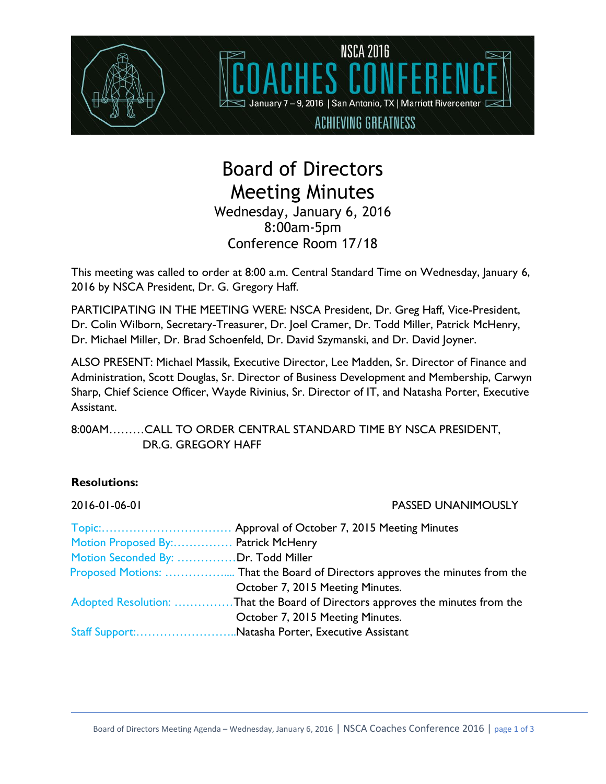

# Board of Directors Meeting Minutes Wednesday, January 6, 2016 8:00am-5pm Conference Room 17/18

This meeting was called to order at 8:00 a.m. Central Standard Time on Wednesday, January 6, 2016 by NSCA President, Dr. G. Gregory Haff.

PARTICIPATING IN THE MEETING WERE: NSCA President, Dr. Greg Haff, Vice-President, Dr. Colin Wilborn, Secretary-Treasurer, Dr. Joel Cramer, Dr. Todd Miller, Patrick McHenry, Dr. Michael Miller, Dr. Brad Schoenfeld, Dr. David Szymanski, and Dr. David Joyner.

ALSO PRESENT: Michael Massik, Executive Director, Lee Madden, Sr. Director of Finance and Administration, Scott Douglas, Sr. Director of Business Development and Membership, Carwyn Sharp, Chief Science Officer, Wayde Rivinius, Sr. Director of IT, and Natasha Porter, Executive Assistant.

8:00AM………CALL TO ORDER CENTRAL STANDARD TIME BY NSCA PRESIDENT, DR.G. GREGORY HAFF

# **Resolutions:**

| 2016-01-06-01                       | PASSED UNANIMOUSLY                                                            |
|-------------------------------------|-------------------------------------------------------------------------------|
|                                     | Approval of October 7, 2015 Meeting Minutes                                   |
| Motion Proposed By: Patrick McHenry |                                                                               |
| Motion Seconded By: Dr. Todd Miller |                                                                               |
|                                     |                                                                               |
|                                     | October 7, 2015 Meeting Minutes.                                              |
|                                     | Adopted Resolution: That the Board of Directors approves the minutes from the |
|                                     | October 7, 2015 Meeting Minutes.                                              |
|                                     | Staff Support:Natasha Porter, Executive Assistant                             |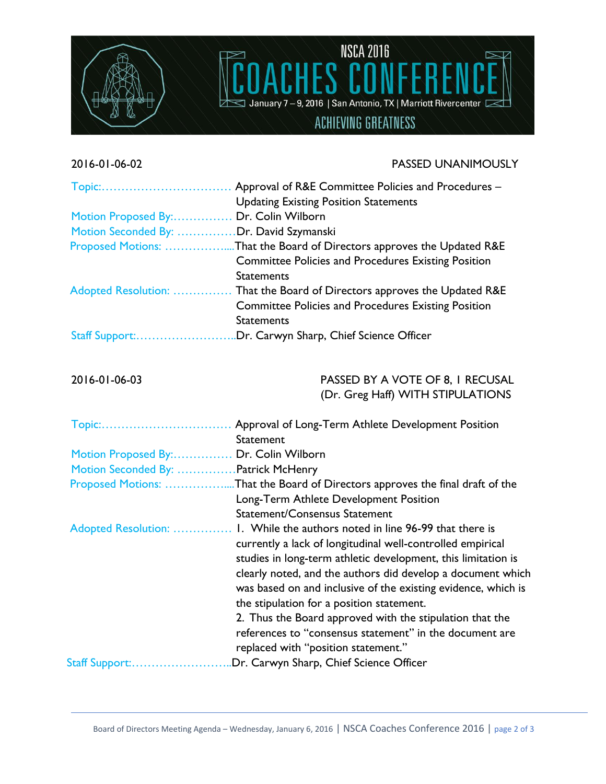

### 2016-01-06-02 PASSED UNANIMOUSLY

**NSCA 2016** 

January 7-9, 2016 | San Antonio, TX | Marriott Rivercenter L

**ACHIEVING GREATNESS** 

| Topic:                                  | Approval of R&E Committee Policies and Procedures -<br><b>Updating Existing Position Statements</b>                                                                                                                                                                                                                                                                                                                                                                                       |
|-----------------------------------------|-------------------------------------------------------------------------------------------------------------------------------------------------------------------------------------------------------------------------------------------------------------------------------------------------------------------------------------------------------------------------------------------------------------------------------------------------------------------------------------------|
| Motion Proposed By: Dr. Colin Wilborn   |                                                                                                                                                                                                                                                                                                                                                                                                                                                                                           |
| Motion Seconded By: Dr. David Szymanski |                                                                                                                                                                                                                                                                                                                                                                                                                                                                                           |
|                                         | Proposed Motions: That the Board of Directors approves the Updated R&E<br><b>Committee Policies and Procedures Existing Position</b><br><b>Statements</b>                                                                                                                                                                                                                                                                                                                                 |
| Adopted Resolution:                     | That the Board of Directors approves the Updated R&E<br><b>Committee Policies and Procedures Existing Position</b><br><b>Statements</b>                                                                                                                                                                                                                                                                                                                                                   |
|                                         | Staff Support:Dr. Carwyn Sharp, Chief Science Officer                                                                                                                                                                                                                                                                                                                                                                                                                                     |
| 2016-01-06-03                           | PASSED BY A VOTE OF 8, I RECUSAL<br>(Dr. Greg Haff) WITH STIPULATIONS                                                                                                                                                                                                                                                                                                                                                                                                                     |
|                                         | <b>Statement</b>                                                                                                                                                                                                                                                                                                                                                                                                                                                                          |
| Motion Proposed By: Dr. Colin Wilborn   |                                                                                                                                                                                                                                                                                                                                                                                                                                                                                           |
| Motion Seconded By:  Patrick McHenry    |                                                                                                                                                                                                                                                                                                                                                                                                                                                                                           |
|                                         | Proposed Motions: That the Board of Directors approves the final draft of the<br>Long-Term Athlete Development Position<br><b>Statement/Consensus Statement</b>                                                                                                                                                                                                                                                                                                                           |
| Adopted Resolution:                     | 1. While the authors noted in line 96-99 that there is<br>currently a lack of longitudinal well-controlled empirical<br>studies in long-term athletic development, this limitation is<br>clearly noted, and the authors did develop a document which<br>was based on and inclusive of the existing evidence, which is<br>the stipulation for a position statement.<br>2. Thus the Board approved with the stipulation that the<br>references to "consensus statement" in the document are |
| Staff Support:                          | replaced with "position statement."<br>Dr. Carwyn Sharp, Chief Science Officer                                                                                                                                                                                                                                                                                                                                                                                                            |
|                                         |                                                                                                                                                                                                                                                                                                                                                                                                                                                                                           |